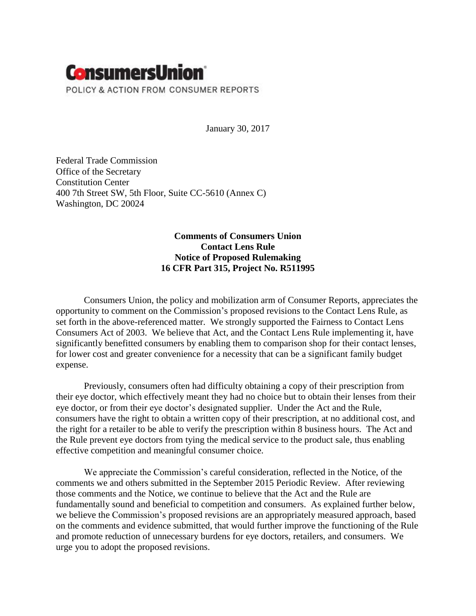

January 30, 2017

Federal Trade Commission Office of the Secretary Constitution Center 400 7th Street SW, 5th Floor, Suite CC-5610 (Annex C) Washington, DC 20024

# **Comments of Consumers Union Contact Lens Rule Notice of Proposed Rulemaking 16 CFR Part 315, Project No. R511995**

Consumers Union, the policy and mobilization arm of Consumer Reports, appreciates the opportunity to comment on the Commission's proposed revisions to the Contact Lens Rule, as set forth in the above-referenced matter. We strongly supported the Fairness to Contact Lens Consumers Act of 2003. We believe that Act, and the Contact Lens Rule implementing it, have significantly benefitted consumers by enabling them to comparison shop for their contact lenses, for lower cost and greater convenience for a necessity that can be a significant family budget expense.

Previously, consumers often had difficulty obtaining a copy of their prescription from their eye doctor, which effectively meant they had no choice but to obtain their lenses from their eye doctor, or from their eye doctor's designated supplier. Under the Act and the Rule, consumers have the right to obtain a written copy of their prescription, at no additional cost, and the right for a retailer to be able to verify the prescription within 8 business hours. The Act and the Rule prevent eye doctors from tying the medical service to the product sale, thus enabling effective competition and meaningful consumer choice.

We appreciate the Commission's careful consideration, reflected in the Notice, of the comments we and others submitted in the September 2015 Periodic Review. After reviewing those comments and the Notice, we continue to believe that the Act and the Rule are fundamentally sound and beneficial to competition and consumers. As explained further below, we believe the Commission's proposed revisions are an appropriately measured approach, based on the comments and evidence submitted, that would further improve the functioning of the Rule and promote reduction of unnecessary burdens for eye doctors, retailers, and consumers. We urge you to adopt the proposed revisions.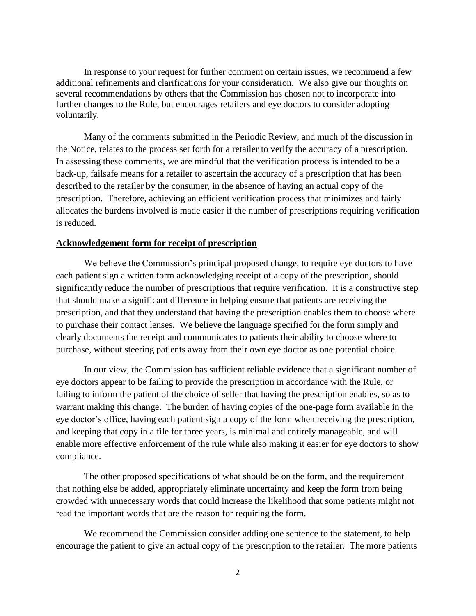In response to your request for further comment on certain issues, we recommend a few additional refinements and clarifications for your consideration. We also give our thoughts on several recommendations by others that the Commission has chosen not to incorporate into further changes to the Rule, but encourages retailers and eye doctors to consider adopting voluntarily.

Many of the comments submitted in the Periodic Review, and much of the discussion in the Notice, relates to the process set forth for a retailer to verify the accuracy of a prescription. In assessing these comments, we are mindful that the verification process is intended to be a back-up, failsafe means for a retailer to ascertain the accuracy of a prescription that has been described to the retailer by the consumer, in the absence of having an actual copy of the prescription. Therefore, achieving an efficient verification process that minimizes and fairly allocates the burdens involved is made easier if the number of prescriptions requiring verification is reduced.

### **Acknowledgement form for receipt of prescription**

We believe the Commission's principal proposed change, to require eye doctors to have each patient sign a written form acknowledging receipt of a copy of the prescription, should significantly reduce the number of prescriptions that require verification. It is a constructive step that should make a significant difference in helping ensure that patients are receiving the prescription, and that they understand that having the prescription enables them to choose where to purchase their contact lenses. We believe the language specified for the form simply and clearly documents the receipt and communicates to patients their ability to choose where to purchase, without steering patients away from their own eye doctor as one potential choice.

In our view, the Commission has sufficient reliable evidence that a significant number of eye doctors appear to be failing to provide the prescription in accordance with the Rule, or failing to inform the patient of the choice of seller that having the prescription enables, so as to warrant making this change. The burden of having copies of the one-page form available in the eye doctor's office, having each patient sign a copy of the form when receiving the prescription, and keeping that copy in a file for three years, is minimal and entirely manageable, and will enable more effective enforcement of the rule while also making it easier for eye doctors to show compliance.

The other proposed specifications of what should be on the form, and the requirement that nothing else be added, appropriately eliminate uncertainty and keep the form from being crowded with unnecessary words that could increase the likelihood that some patients might not read the important words that are the reason for requiring the form.

We recommend the Commission consider adding one sentence to the statement, to help encourage the patient to give an actual copy of the prescription to the retailer. The more patients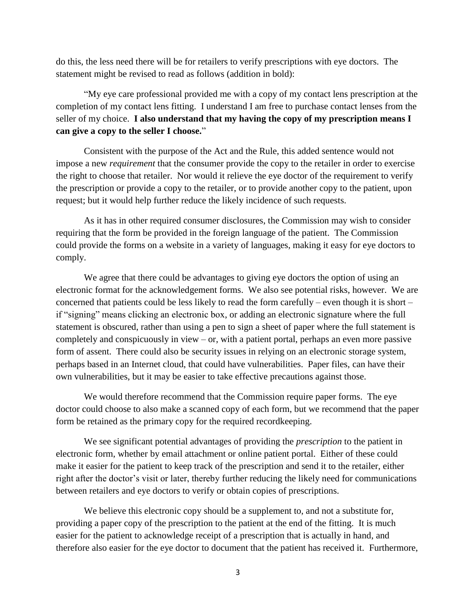do this, the less need there will be for retailers to verify prescriptions with eye doctors. The statement might be revised to read as follows (addition in bold):

"My eye care professional provided me with a copy of my contact lens prescription at the completion of my contact lens fitting. I understand I am free to purchase contact lenses from the seller of my choice. **I also understand that my having the copy of my prescription means I can give a copy to the seller I choose.**"

Consistent with the purpose of the Act and the Rule, this added sentence would not impose a new *requirement* that the consumer provide the copy to the retailer in order to exercise the right to choose that retailer. Nor would it relieve the eye doctor of the requirement to verify the prescription or provide a copy to the retailer, or to provide another copy to the patient, upon request; but it would help further reduce the likely incidence of such requests.

As it has in other required consumer disclosures, the Commission may wish to consider requiring that the form be provided in the foreign language of the patient. The Commission could provide the forms on a website in a variety of languages, making it easy for eye doctors to comply.

We agree that there could be advantages to giving eye doctors the option of using an electronic format for the acknowledgement forms. We also see potential risks, however. We are concerned that patients could be less likely to read the form carefully – even though it is short – if "signing" means clicking an electronic box, or adding an electronic signature where the full statement is obscured, rather than using a pen to sign a sheet of paper where the full statement is completely and conspicuously in view – or, with a patient portal, perhaps an even more passive form of assent. There could also be security issues in relying on an electronic storage system, perhaps based in an Internet cloud, that could have vulnerabilities. Paper files, can have their own vulnerabilities, but it may be easier to take effective precautions against those.

We would therefore recommend that the Commission require paper forms. The eye doctor could choose to also make a scanned copy of each form, but we recommend that the paper form be retained as the primary copy for the required recordkeeping.

We see significant potential advantages of providing the *prescription* to the patient in electronic form, whether by email attachment or online patient portal. Either of these could make it easier for the patient to keep track of the prescription and send it to the retailer, either right after the doctor's visit or later, thereby further reducing the likely need for communications between retailers and eye doctors to verify or obtain copies of prescriptions.

We believe this electronic copy should be a supplement to, and not a substitute for, providing a paper copy of the prescription to the patient at the end of the fitting. It is much easier for the patient to acknowledge receipt of a prescription that is actually in hand, and therefore also easier for the eye doctor to document that the patient has received it. Furthermore,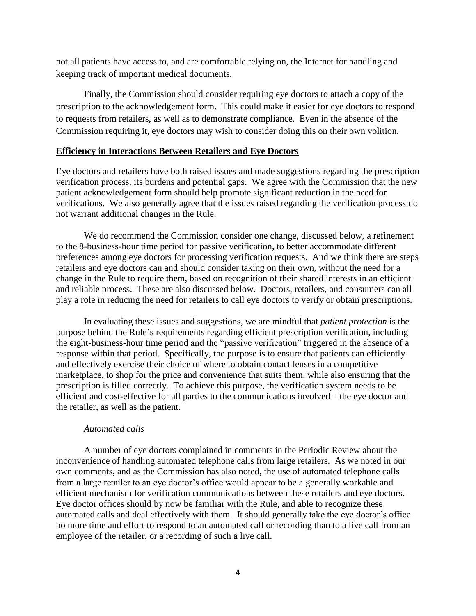not all patients have access to, and are comfortable relying on, the Internet for handling and keeping track of important medical documents.

Finally, the Commission should consider requiring eye doctors to attach a copy of the prescription to the acknowledgement form. This could make it easier for eye doctors to respond to requests from retailers, as well as to demonstrate compliance. Even in the absence of the Commission requiring it, eye doctors may wish to consider doing this on their own volition.

### **Efficiency in Interactions Between Retailers and Eye Doctors**

Eye doctors and retailers have both raised issues and made suggestions regarding the prescription verification process, its burdens and potential gaps. We agree with the Commission that the new patient acknowledgement form should help promote significant reduction in the need for verifications. We also generally agree that the issues raised regarding the verification process do not warrant additional changes in the Rule.

We do recommend the Commission consider one change, discussed below, a refinement to the 8-business-hour time period for passive verification, to better accommodate different preferences among eye doctors for processing verification requests. And we think there are steps retailers and eye doctors can and should consider taking on their own, without the need for a change in the Rule to require them, based on recognition of their shared interests in an efficient and reliable process. These are also discussed below. Doctors, retailers, and consumers can all play a role in reducing the need for retailers to call eye doctors to verify or obtain prescriptions.

In evaluating these issues and suggestions, we are mindful that *patient protection* is the purpose behind the Rule's requirements regarding efficient prescription verification, including the eight-business-hour time period and the "passive verification" triggered in the absence of a response within that period. Specifically, the purpose is to ensure that patients can efficiently and effectively exercise their choice of where to obtain contact lenses in a competitive marketplace, to shop for the price and convenience that suits them, while also ensuring that the prescription is filled correctly. To achieve this purpose, the verification system needs to be efficient and cost-effective for all parties to the communications involved – the eye doctor and the retailer, as well as the patient.

### *Automated calls*

A number of eye doctors complained in comments in the Periodic Review about the inconvenience of handling automated telephone calls from large retailers. As we noted in our own comments, and as the Commission has also noted, the use of automated telephone calls from a large retailer to an eye doctor's office would appear to be a generally workable and efficient mechanism for verification communications between these retailers and eye doctors. Eye doctor offices should by now be familiar with the Rule, and able to recognize these automated calls and deal effectively with them. It should generally take the eye doctor's office no more time and effort to respond to an automated call or recording than to a live call from an employee of the retailer, or a recording of such a live call.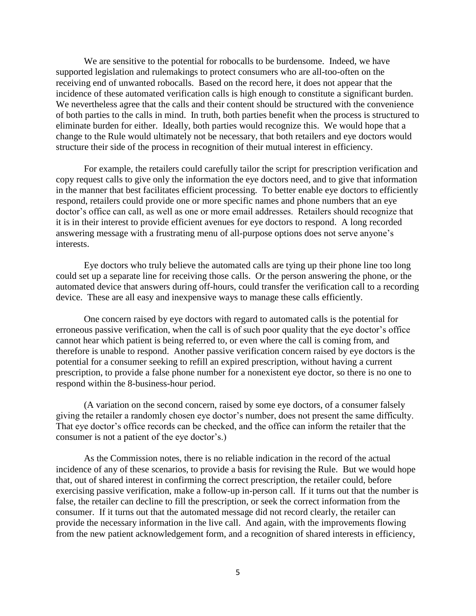We are sensitive to the potential for robocalls to be burdensome. Indeed, we have supported legislation and rulemakings to protect consumers who are all-too-often on the receiving end of unwanted robocalls. Based on the record here, it does not appear that the incidence of these automated verification calls is high enough to constitute a significant burden. We nevertheless agree that the calls and their content should be structured with the convenience of both parties to the calls in mind. In truth, both parties benefit when the process is structured to eliminate burden for either. Ideally, both parties would recognize this. We would hope that a change to the Rule would ultimately not be necessary, that both retailers and eye doctors would structure their side of the process in recognition of their mutual interest in efficiency.

For example, the retailers could carefully tailor the script for prescription verification and copy request calls to give only the information the eye doctors need, and to give that information in the manner that best facilitates efficient processing. To better enable eye doctors to efficiently respond, retailers could provide one or more specific names and phone numbers that an eye doctor's office can call, as well as one or more email addresses. Retailers should recognize that it is in their interest to provide efficient avenues for eye doctors to respond. A long recorded answering message with a frustrating menu of all-purpose options does not serve anyone's interests.

Eye doctors who truly believe the automated calls are tying up their phone line too long could set up a separate line for receiving those calls. Or the person answering the phone, or the automated device that answers during off-hours, could transfer the verification call to a recording device. These are all easy and inexpensive ways to manage these calls efficiently.

One concern raised by eye doctors with regard to automated calls is the potential for erroneous passive verification, when the call is of such poor quality that the eye doctor's office cannot hear which patient is being referred to, or even where the call is coming from, and therefore is unable to respond. Another passive verification concern raised by eye doctors is the potential for a consumer seeking to refill an expired prescription, without having a current prescription, to provide a false phone number for a nonexistent eye doctor, so there is no one to respond within the 8-business-hour period.

(A variation on the second concern, raised by some eye doctors, of a consumer falsely giving the retailer a randomly chosen eye doctor's number, does not present the same difficulty. That eye doctor's office records can be checked, and the office can inform the retailer that the consumer is not a patient of the eye doctor's.)

As the Commission notes, there is no reliable indication in the record of the actual incidence of any of these scenarios, to provide a basis for revising the Rule. But we would hope that, out of shared interest in confirming the correct prescription, the retailer could, before exercising passive verification, make a follow-up in-person call. If it turns out that the number is false, the retailer can decline to fill the prescription, or seek the correct information from the consumer. If it turns out that the automated message did not record clearly, the retailer can provide the necessary information in the live call. And again, with the improvements flowing from the new patient acknowledgement form, and a recognition of shared interests in efficiency,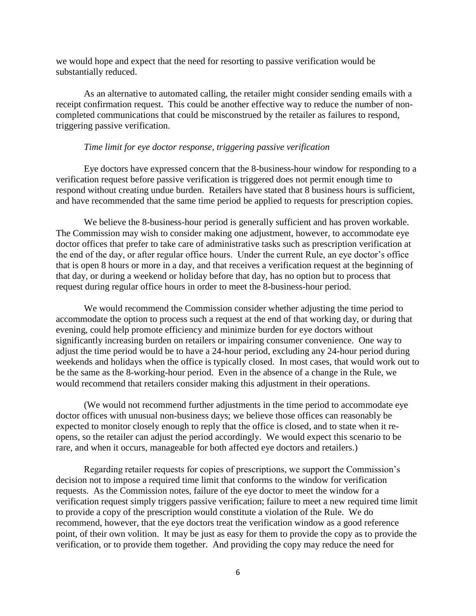we would hope and expect that the need for resorting to passive verification would be substantially reduced.

As an alternative to automated calling, the retailer might consider sending emails with a receipt confirmation request. This could be another effective way to reduce the number of noncompleted communications that could be misconstrued by the retailer as failures to respond, triggering passive verification.

### *Time limit for eye doctor response, triggering passive verification*

Eye doctors have expressed concern that the 8-business-hour window for responding to a verification request before passive verification is triggered does not permit enough time to respond without creating undue burden. Retailers have stated that 8 business hours is sufficient, and have recommended that the same time period be applied to requests for prescription copies.

We believe the 8-business-hour period is generally sufficient and has proven workable. The Commission may wish to consider making one adjustment, however, to accommodate eye doctor offices that prefer to take care of administrative tasks such as prescription verification at the end of the day, or after regular office hours. Under the current Rule, an eye doctor's office that is open 8 hours or more in a day, and that receives a verification request at the beginning of that day, or during a weekend or holiday before that day, has no option but to process that request during regular office hours in order to meet the 8-business-hour period.

We would recommend the Commission consider whether adjusting the time period to accommodate the option to process such a request at the end of that working day, or during that evening, could help promote efficiency and minimize burden for eye doctors without significantly increasing burden on retailers or impairing consumer convenience. One way to adjust the time period would be to have a 24-hour period, excluding any 24-hour period during weekends and holidays when the office is typically closed. In most cases, that would work out to be the same as the 8-working-hour period. Even in the absence of a change in the Rule, we would recommend that retailers consider making this adjustment in their operations.

(We would not recommend further adjustments in the time period to accommodate eye doctor offices with unusual non-business days; we believe those offices can reasonably be expected to monitor closely enough to reply that the office is closed, and to state when it reopens, so the retailer can adjust the period accordingly. We would expect this scenario to be rare, and when it occurs, manageable for both affected eye doctors and retailers.)

Regarding retailer requests for copies of prescriptions, we support the Commission's decision not to impose a required time limit that conforms to the window for verification requests. As the Commission notes, failure of the eye doctor to meet the window for a verification request simply triggers passive verification; failure to meet a new required time limit to provide a copy of the prescription would constitute a violation of the Rule. We do recommend, however, that the eye doctors treat the verification window as a good reference point, of their own volition. It may be just as easy for them to provide the copy as to provide the verification, or to provide them together. And providing the copy may reduce the need for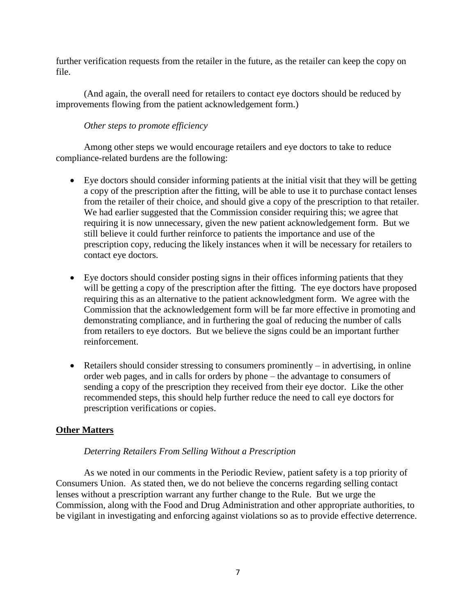further verification requests from the retailer in the future, as the retailer can keep the copy on file.

(And again, the overall need for retailers to contact eye doctors should be reduced by improvements flowing from the patient acknowledgement form.)

# *Other steps to promote efficiency*

Among other steps we would encourage retailers and eye doctors to take to reduce compliance-related burdens are the following:

- Eye doctors should consider informing patients at the initial visit that they will be getting a copy of the prescription after the fitting, will be able to use it to purchase contact lenses from the retailer of their choice, and should give a copy of the prescription to that retailer. We had earlier suggested that the Commission consider requiring this; we agree that requiring it is now unnecessary, given the new patient acknowledgement form. But we still believe it could further reinforce to patients the importance and use of the prescription copy, reducing the likely instances when it will be necessary for retailers to contact eye doctors.
- Eye doctors should consider posting signs in their offices informing patients that they will be getting a copy of the prescription after the fitting. The eye doctors have proposed requiring this as an alternative to the patient acknowledgment form. We agree with the Commission that the acknowledgement form will be far more effective in promoting and demonstrating compliance, and in furthering the goal of reducing the number of calls from retailers to eye doctors. But we believe the signs could be an important further reinforcement.
- Retailers should consider stressing to consumers prominently in advertising, in online order web pages, and in calls for orders by phone – the advantage to consumers of sending a copy of the prescription they received from their eye doctor. Like the other recommended steps, this should help further reduce the need to call eye doctors for prescription verifications or copies.

# **Other Matters**

# *Deterring Retailers From Selling Without a Prescription*

As we noted in our comments in the Periodic Review, patient safety is a top priority of Consumers Union. As stated then, we do not believe the concerns regarding selling contact lenses without a prescription warrant any further change to the Rule. But we urge the Commission, along with the Food and Drug Administration and other appropriate authorities, to be vigilant in investigating and enforcing against violations so as to provide effective deterrence.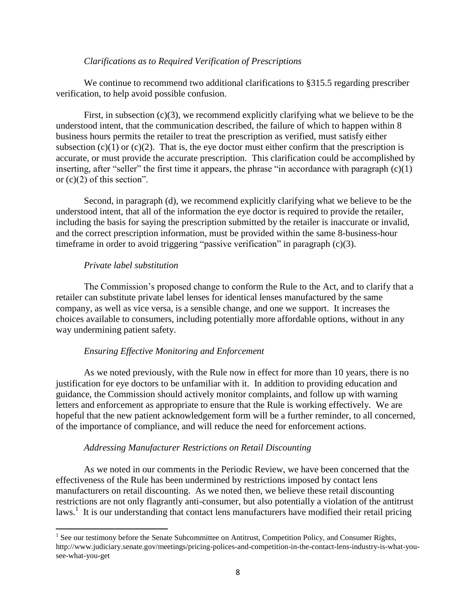### *Clarifications as to Required Verification of Prescriptions*

We continue to recommend two additional clarifications to \$315.5 regarding prescriber verification, to help avoid possible confusion.

First, in subsection (c)(3), we recommend explicitly clarifying what we believe to be the understood intent, that the communication described, the failure of which to happen within 8 business hours permits the retailer to treat the prescription as verified, must satisfy either subsection  $(c)(1)$  or  $(c)(2)$ . That is, the eye doctor must either confirm that the prescription is accurate, or must provide the accurate prescription. This clarification could be accomplished by inserting, after "seller" the first time it appears, the phrase "in accordance with paragraph  $(c)(1)$ or  $(c)(2)$  of this section".

Second, in paragraph (d), we recommend explicitly clarifying what we believe to be the understood intent, that all of the information the eye doctor is required to provide the retailer, including the basis for saying the prescription submitted by the retailer is inaccurate or invalid, and the correct prescription information, must be provided within the same 8-business-hour timeframe in order to avoid triggering "passive verification" in paragraph (c)(3).

### *Private label substitution*

 $\overline{\phantom{a}}$ 

The Commission's proposed change to conform the Rule to the Act, and to clarify that a retailer can substitute private label lenses for identical lenses manufactured by the same company, as well as vice versa, is a sensible change, and one we support. It increases the choices available to consumers, including potentially more affordable options, without in any way undermining patient safety.

### *Ensuring Effective Monitoring and Enforcement*

As we noted previously, with the Rule now in effect for more than 10 years, there is no justification for eye doctors to be unfamiliar with it. In addition to providing education and guidance, the Commission should actively monitor complaints, and follow up with warning letters and enforcement as appropriate to ensure that the Rule is working effectively. We are hopeful that the new patient acknowledgement form will be a further reminder, to all concerned, of the importance of compliance, and will reduce the need for enforcement actions.

#### *Addressing Manufacturer Restrictions on Retail Discounting*

As we noted in our comments in the Periodic Review, we have been concerned that the effectiveness of the Rule has been undermined by restrictions imposed by contact lens manufacturers on retail discounting. As we noted then, we believe these retail discounting restrictions are not only flagrantly anti-consumer, but also potentially a violation of the antitrust laws.<sup>1</sup> It is our understanding that contact lens manufacturers have modified their retail pricing

<sup>&</sup>lt;sup>1</sup> See our testimony before the Senate Subcommittee on Antitrust, Competition Policy, and Consumer Rights, http://www.judiciary.senate.gov/meetings/pricing-polices-and-competition-in-the-contact-lens-industry-is-what-yousee-what-you-get